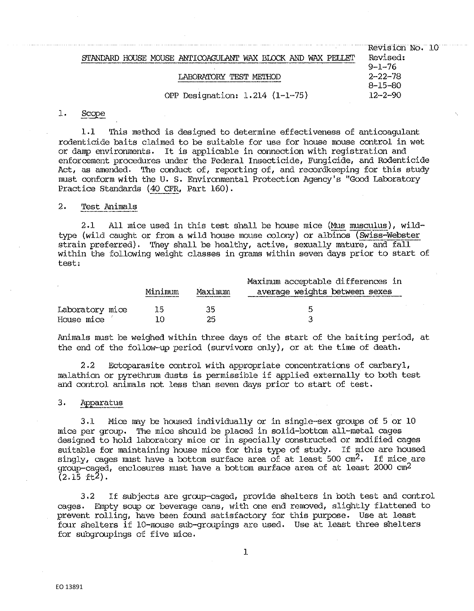| STANDARD HOUSE MOUSE ANTICOAGULANT WAX BLOCK AND WAX PELLET<br>LARORATORY TEST METHOD | Revision No. 10<br>Revised:<br>$9 - 1 - 76$<br>$2 - 22 - 78$ |
|---------------------------------------------------------------------------------------|--------------------------------------------------------------|
| OPP Designation: 1.214 (1-1-75)                                                       | $8 - 15 - 80$<br>$12 - 2 - 90$                               |

#### l. Scope

1,1 This method is designed to determine effectiveness of anticoagulant rodenticide baits claimed to be suitable for use for house mouse control in wet or damp environments. It is applicable in connection with registration and enforcement procedures under the Federal Insecticide, Fungicide, and Rodenticide Act, as amended. The conduct of, reporting of, and recordkeeping for this study must conform with the u. s. Environmental Protection Agency's "Good Laboratory Practice Standards (40 CFR, Part 160).

## 2, 'rest Animals

2.1 All mice used in this test shall be house mice (Mus musculus),  $width$ type (wild caught or from a wild house mouse colony) or albinos (Swiss-Webster strain preferred). They shall be healthy, active, sexually mature, and fall within the following weight classes in grams within seven days prior to start of test:

|                               | Minimum | Maximum  | Maximum acceptable differences in<br>average weights between sexes |
|-------------------------------|---------|----------|--------------------------------------------------------------------|
| Laboratory mice<br>House mice | 15      | 35<br>つに | к                                                                  |

Animals must be weighed within three days of the start of the baiting period, at the end of the follow-up period (survivors only), or at the time of death.

2 .2 Ectoparasite control with appropriate concentrations of carbaryl, malathion or pyrethrum dusts is permissible if applied externally to both test and control animals not less than seven days prior to start of test.

## 3, Apparatus

3.1 Mice may be housed individually or in single-sex groups of 5 or 10 mice per group, The mice should be placed in solid-bottom all-metal cages designed to hold laboratory mice or in specially constructed or modified cages suitable for maintaining house mice for this type of study. If mice are housed singly, cages must have a bottom surface area of at least 500  $cm^2$ . If mice are group-caged, enclosures must have a bottom surface area of at least 2000  $cm^2$  $(2.15 \text{ ft}^2)$ .

3.2 If subjects are group-caged, provide shelters in both test and control cages, Empty soup or beverage cans, with one end removed, slightly flattened to prevent rolling, have been found satisfactory for this purpose. Use at least four. shelters if 10-mouse sub-groupings are used, Use at least three shelters for. subgroupings of five mice.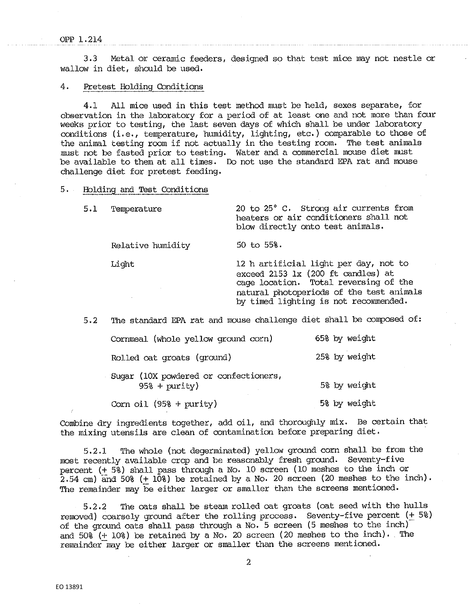3,3 Metal or ceramic feeders, designed so that test mice may not nestle or wallow in diet, should be used,

## 4. Pretest Holding Conditions

4.1 All mice used in this test method must be held, sexes separate, for observation in the laboratory for a period of at least one and not more than four weeks prior to testing, the last seven days of which shall be under laboratory conditions (i.e., temperature, humidity, lighting, etc.) comparable to those of the animal testing room if not actually in the testing room. The test animals must not be fasted prior to testing. Water and a commercial mouse diet must be available to them at all times, Do not use the standard EPA rat and mouse challenge diet for pretest feeding.

## 5. Holding and Test conditions

| 5.1 | Temperature       | 20 to 25° C. Strong air currents from<br>heaters or air conditioners shall not<br>blow directly onto test animals.                                                                                        |
|-----|-------------------|-----------------------------------------------------------------------------------------------------------------------------------------------------------------------------------------------------------|
|     | Relative humidity | 50 to 55%.                                                                                                                                                                                                |
|     | Light             | 12 h artificial light per day, not to<br>exceed 2153 1x (200 ft candles) at<br>cage location. Total reversing of the<br>natural photoperiods of the test animals<br>by timed lighting is not recommended. |

5.2 The standard EPA rat and mouse challenge diet shall be composed of:

| Cornmeal (whole yellow ground corn)                      | 65% by weight |
|----------------------------------------------------------|---------------|
| Rolled oat groats (ground)                               | 25% by weight |
| Sugar (10X powdered or confectioners,<br>$95\$ + purity) | 5% by weight  |
| Corn oil $(95$ <sup>8</sup> + purity)                    | 5% by weight  |

Combine dry ingredients together, add oil, and thoroughly mix, Be certain that the mixing utensils are clean of contamination before preparing diet.

5.2.1 The whole (not degerminated) yellow ground corn shall be from the most recently available crop and be reasonably fresh ground, Seventy-five percent (+ 5%) shall pass through a No, 10 screen (10 meshes to the inch or  $2.54$  cm) and  $50\$  (+  $10\$ ) be retained by a No. 20 screen (20 meshes to the inch). The remainder may be either larger or smaller than the screens mentioned.

5.2.2 The oats shall be steam rolled oat groats (oat seed wi.th the hulls removed) coarsely ground after the rolling process. Seventy-five percent  $(+5%)$ of the ground oats shall pass through a No, 5 screen (5 meshes to the inch) and  $50\%$  (+ 10%) be retained by a No. 20 screen (20 meshes to the inch). The remainder may be either larger or smaller than the screens mentioned.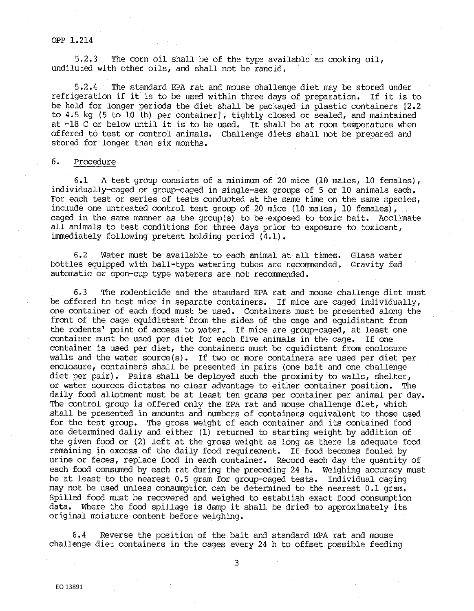#### OPP 1.214

5.2,3 The corn oil shall be of the type available as cooking oil, undiluted with other oils, and shall not be rancid,

5,2,4 The standard EPA rat and mouse challenge diet may be stored under refrigeration if it is to be used within three days of preparation, If it is to be held for longer periods the diet shall be packaged in plastic containers [2,2 to 4.5 kg (5 to 10 lb) per container], tightly closed or sealed, and maintained at -18 C or below until it is to be used, It shall be at room temperature when offered to test or control animals, Challenge diets shall not be prepared and stored for longer than six months,

# 6, Procedure

6,1 A test group consists of a minimum of 20 mice (10 males, 10 females), individually-caged or group-caged in single-sex groups of 5 or 10 animals each, For each test or series of tests conducted at the same time on the same species, include one untreated control test group of 20 mice (10 males, 10 females), caged in the same manner as the group(s) to be exposed to toxic bait. Acclimate all animals to test conditions for three days prior to exposure to toxicant, immediately following pretest holding period (4,1),

6.2 Water must be available to each animal at all times, Glass water bottles equipped with ball-type watering tubes are recommended, Gravity fed automatic or open-cup type waterers are not recommended.

6,3 The rodenticide and the standard EPA rat and mouse challenge diet must be offered to test mice in separate containers, If mice are caged individually, one container of each food must be used. Containers must be presented along the front of the cage equidistant from the sides of the cage and equidistant from the rodents' point of access to water, If mice are group-caged, at least one container must be used per diet for each five animals in the cage, If one container is used per diet, the containers must be equidistant from enclosure walls and the water source(s). If two or more containers are used per diet per enclosure, containers shall be presented in pairs (one bait and one challenge diet per pair), Pairs shall be deployed such the proximity to walls, shelter, or water sources dictates no clear advantage to either container position, The daily food allotment must be at least ten grams per container per animal per day. The control group is offered only the EPA rat and mouse challenge diet, which shall be presented in amounts and numbers of containers equivalent to those used for the test group,. The gross weight of each container and its contained food are determined daily and either (1) returned to starting weight by addition of the given food or (2) left at the gross weight as long as there is adequate food remaining in excess of the daily food requirement. If food becomes fouled by urine or feces, replace food in each container. Record each day the quantity of each food consumed by each rat during the preceding 24 h. Weighing accuracy must be at least to the nearest 0,5 gram for group-caged tests. Individual caging may not be used unless consumption can be determined to the nearest 0.1 gram. Spilled food must be recovered and weighed to establish exact food conswnption data. Where the food spillage is damp it shall be dried to approximately its original moisture content before weighing.

6,4 Reverse the position of the bait and standard EPA rat and mouse challenge diet containers in the cages every 24 h to offset possible feeding

3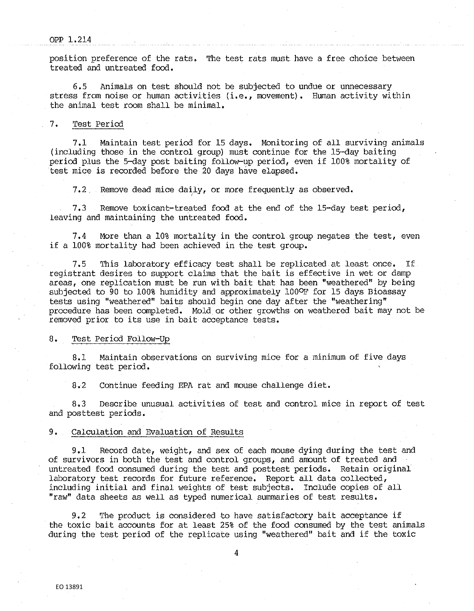## OPP 1.214

position preference of the rats. The test rats must have a free choice between treated and untreated food.

6,5 Animals on test should not be subjected to undue or unnecessary stress from noise or human activities (i.e., movement). Human activity within the animal test room shall be minimal.

# 7. Test Period

7.1 Maintain test period for 15 days. Monitoring of all surviving animals (including those in the control group) must continue for the 15·-day baiting period plus the 5-day post baiting follow-up period, even if 100% mortality of test mice is recorded before the 20 days have elapsed.

 $7.2$  Remove dead mice daily, or more frequently as observed.

7,3 Remove toxicant-treated food at the end of the 15-day test period, .leaving and maintaining the untreated food.

7.4 More than a 10% mortality in the control group negates the test, even if a 100% mortality had been achieved in the test group.

7.5 This laboratory efficacy test shall be replicated at least once. If registrant desires to support claims that the bait is effective in wet or damp areas, one replication must be run with bait that has been "weathered" by being subjected to 90 to 100% humidity and approximately 100°F for 15 days Bioassay tests using "weathered" baits should begin one day after the "weathering" procedure has been completed. Mold or other growths on weathered bait may not be removed prior to its use in bait acceptance tests.

## 8. Test Period Follow-Up

8.1 Maintain observations on surviving mice for a minimum of five days following test period.

8.2 Continue feeding EPA rat and mouse challenge diet.

8,3 Describe unusual. activities of test and control. mice in report of test and posttest periods.

#### 9. Calculation and Evaluation of Results

9,1 Record date, weight, and sex of each mouse dying during the test and of survivors in both the test and control. groups, and amount of treated and untreated food consumed during the test and posttest periods. Retain original laboratory test records for future reference. Report all data collected, including initial and final. weights of test subjects. Include copies of all "raw" data sheets as well as typed numerical summaries of test results.

9.2 The product is considered to have satisfactory bait acceptance if the toxic bait accounts for at least 25% of the food consumed by the test animals during the test period of the replicate using "weathered" bait and if the toxic

4